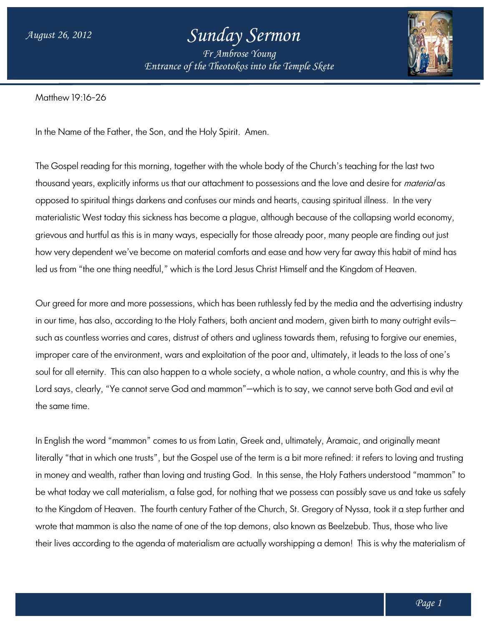## *Sunday Sermon*

*Entrance of the Theotokos Entrance of into the Temple Skete Fr Ambrose Young*



Matthew 19:16-26

In the Name of the Father, the Son, and the Holy Spirit. Amen.

The Gospel reading for this morning, together with the whole body of the Church's teaching for the last two i thousand years, explicitly informs us that our attachment to possessions and the love and desire for *material* as opposed to spiritual things darkens and confuses our minds and hearts, causing spiritual illness. In the very materialistic West today this sickness has become a plague, although because of the collapsing world economy, grievous and hurtful as this is in many ways, especially for those already poor, many people are finding out just how very dependent we've become on material comforts and ease and how very far away this habit of mind has led us from "the one thing needful," which is the Lord Jesus Christ Himself and the Kingdom of Heaven. thousand years, explicitly informs us that our attachment to possessions and the love and desire for *material* as<br>opposed to spiritual things darkens and confuses our minds and hearts, causing spiritual illness. In the ve

Our greed for more and more possessions, which has been ruthlessly fed by the media and the advertising industry in our time, has also, according to the Holy Fathers, both ancient and modern, given birth to many outright evils such as countless worries and cares, distrust of others and ugliness towards them, refusing to forgive our enemies, improper care of the environment, wars and exploitation of the poor and, ultimately, it leads to the loss of one's soul for all eternity. This can also happen to a whole society, a whole nation, a whole country, and this is why the in our time, has also, according to the Holy Fathers, both ancient and modern, given birth to many outright evils—<br>such as countless worries and cares, distrust of others and ugliness towards them, refusing to forgive our the same time.

In English the word "mammon" comes to us from Latin, Greek and, ultimately, Aramaic, and originally meant literally "that in which one trusts", but the Gospel use of the term is a bit more refined: it refers to loving and trusting In English the word "mammon" comes to us from Latin, Greek and, ultimately, Aramaic, and originally meant<br>literally "that in which one trusts", but the Gospel use of the term is a bit more refined: it refers to loving and be what today we call materialism, a false god, for nothing that we possess can possibly save us and take us safely to the Kingdom of Heaven. The fourth century Father of the Church, St. Gregory of Nyssa, took it a step further and wrote that mammon is also the name of one of the top demons, also known as Beelzebub. Thus, those who live their lives according to the agenda of materialism are actually worshipping a demon! This is why the materialism of ig God. In this sense, the Holy Fathers understood "mammon" to<br>r nothing that we possess can possibly save us and take us safely<br>ler of the Church, St. Gregory of Nyssa, took it a step further and<br>top demons, also known as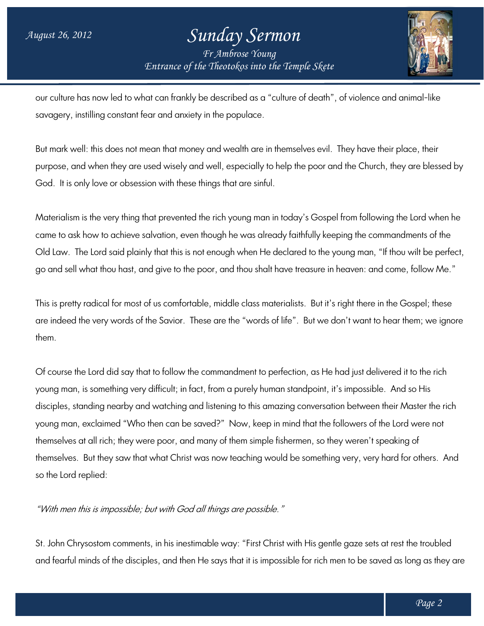## *Entrance of the Theotokos Entrance of into the Temple Skete Sunday Sermon Fr Ambrose Young*



our culture has now led to what can frankly be described as a "culture of death", of violence and animal-like<br>savagery, instilling constant fear and anxiety in the populace. savagery, instilling constant fear and anxiety in the populace.

But mark well: this does not mean that money and wealth are in themselves evil. They have their place, their purpose, and when they are used wisely and well, especially to help the poor and the Church, they are blessed by God. It is only love or obsession with these things that are sinful. They have their place, their<br>d the Church, they are blessed by<br>I from following the Lord when he

Materialism is the very thing that prevented the rich young man in today's Gospel from following the Lord when came to ask how to achieve salvation, even though he was already faithfully keeping the commandments of the Old Law. The Lord said plainly that this is not enough when He declared to the young man, "If thou wilt be perfect, go and sell what thou hast, and give to the poor, and thou shalt have treasure in heaven: and come, follow Me." let it is only love or obsession with these things that are sinful.<br>The indism is the very thing that prevented the rich young man in today's Gospel from following the Lord when he<br>The todask how to achieve salvation, even

This is pretty radical for most of us comfortable, middle class materialists. But it's right there in the Gospel; these are indeed the very words of the Savior. These are the "words of life". But we don't want to hear them; we ignore them.

Of course the Lord did say that to follow the commandment to perfection, as He had just delivered it to the rich Of course the Lord did say that to follow the commandment to perfection, as He had just delivered<br>young man, is something very difficult; in fact, from a purely human standpoint, it's impossible. Anc disciples, standing nearby and watching and listening to this amazing conversation between their Master the rich disciples, standing nearby and watching and listening to this amazing conversation between their Master the r<br>young man, exclaimed "Who then can be saved?" Now, keep in mind that the followers of the Lord were not themselves at all rich; they were poor, and many of them simple fishermen, so they weren't speaking of themselves at all rich; they were poor, and many of them simple fishermen, so they weren't speaking of<br>themselves. But they saw that what Christ was now teaching would be something very, very hard for others. And so the Lord replied: of life". But we don't want to hear them; w<br>erfection, as He had just delivered it to the<br>an standpoint, it's impossible. And so His

"With men this is impossible; but with God all things are possible."

St. John Chrysostom comments, in his inestimable way: "First Christ with His gentle gaze sets at rest the troubled St. John Chrysostom comments, in his inestimable way: "First Christ with His gentle gaze sets at rest the troubled<br>and fearful minds of the disciples, and then He says that it is impossible for rich men to be saved as long